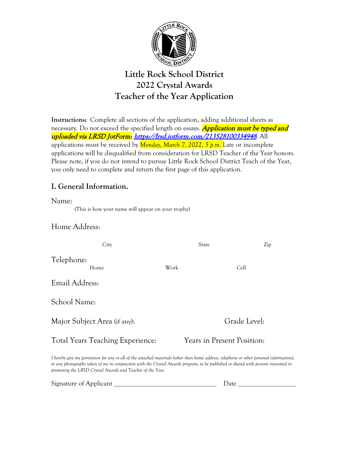

# **Little Rock School District 2022 Crystal Awards Teacher of the Year Application**

**Instructions:** Complete all sections of the application, adding additional sheets as necessary. Do not exceed the specified length on essays. **Application must be typed and** uploaded via LRSD JotForm: <https://lrsd.jotform.com/213528100334948>. All applications must be received by *Monday, March 7, 2022, 5 p.m.* Late or incomplete applications will be disqualified from consideration for LRSD Teacher of the Year honors. Please note, if you do not intend to pursue Little Rock School District Teach of the Year, you only need to complete and return the first page of this application.

### **I. General Information.**

Name: (This is how your name will appear on your trophy)

#### Home Address:

| City                                    |      | State                             | Zip |
|-----------------------------------------|------|-----------------------------------|-----|
| Telephone:<br>Home                      | Work | Cell                              |     |
| Email Address:                          |      |                                   |     |
| School Name:                            |      |                                   |     |
| Major Subject Area (if any):            |      | Grade Level:                      |     |
| <b>Total Years Teaching Experience:</b> |      | <b>Years in Present Position:</b> |     |

*I hereby give my permission for any or all of the attached materials (other than home address, telephone or other personal information), or any photographs taken of me in conjunction with the Crystal Awards program, to be published or shared with persons interested in promoting the LRSD Crystal Awards and Teacher of the Year.*

| $\sim$<br>ى 1<br>____<br>______ |
|---------------------------------|
|---------------------------------|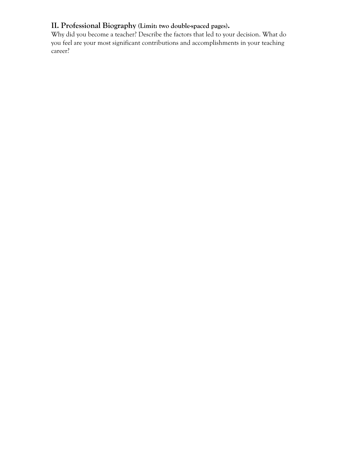#### **II. Professional Biography (Limit: two double-spaced pages).**

Why did you become a teacher? Describe the factors that led to your decision. What do you feel are your most significant contributions and accomplishments in your teaching career?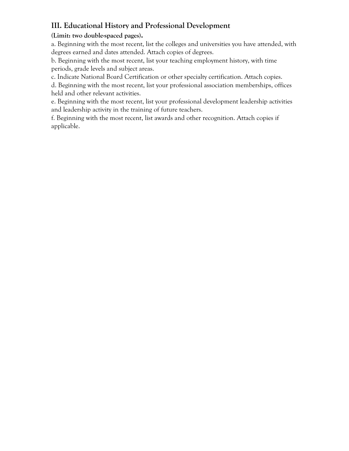# **III. Educational History and Professional Development**

#### **(Limit: two double-spaced pages).**

a. Beginning with the most recent, list the colleges and universities you have attended, with degrees earned and dates attended. Attach copies of degrees.

b. Beginning with the most recent, list your teaching employment history, with time periods, grade levels and subject areas.

c. Indicate National Board Certification or other specialty certification. Attach copies.

d. Beginning with the most recent, list your professional association memberships, offices held and other relevant activities.

e. Beginning with the most recent, list your professional development leadership activities and leadership activity in the training of future teachers.

f. Beginning with the most recent, list awards and other recognition. Attach copies if applicable.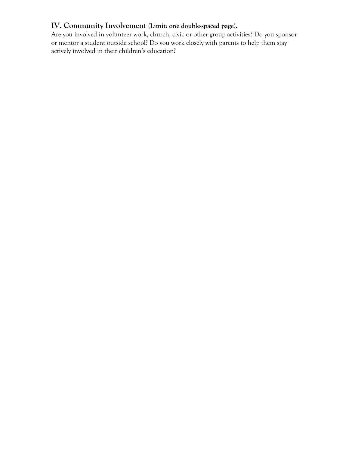#### **IV. Community Involvement (Limit: one double-spaced page).**

Are you involved in volunteer work, church, civic or other group activities? Do you sponsor or mentor a student outside school? Do you work closely with parents to help them stay actively involved in their children's education?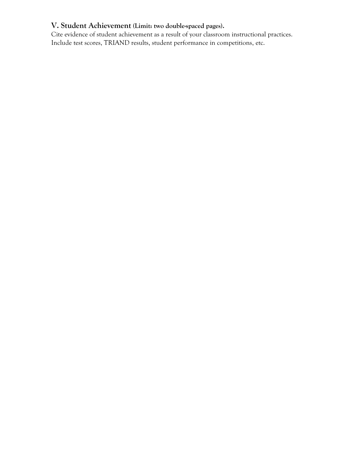# **V. Student Achievement (Limit: two double-spaced pages).**

Cite evidence of student achievement as a result of your classroom instructional practices. Include test scores, TRIAND results, student performance in competitions, etc.